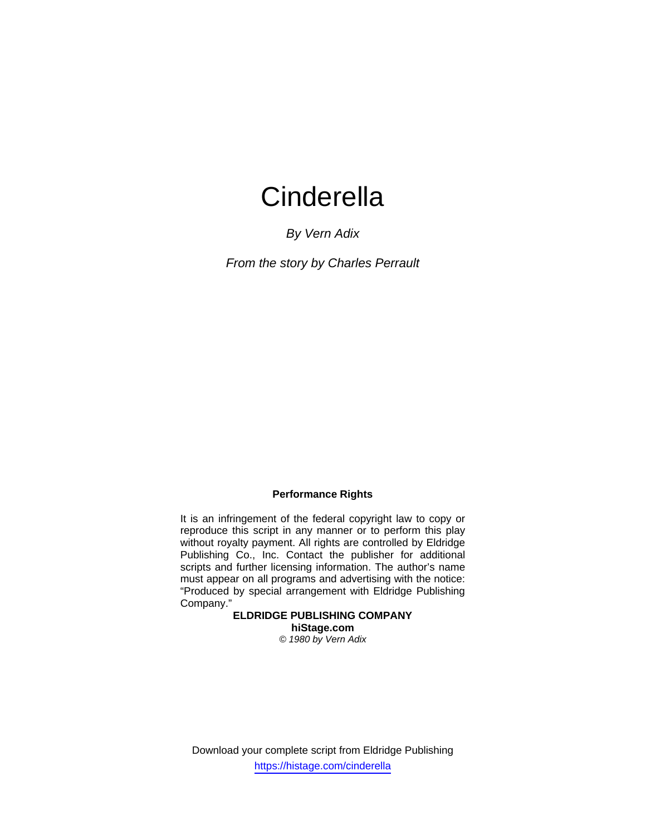*By Vern Adix* 

*From the story by Charles Perrault* 

## **Performance Rights**

It is an infringement of the federal copyright law to copy or reproduce this script in any manner or to perform this play without royalty payment. All rights are controlled by Eldridge Publishing Co., Inc. Contact the publisher for additional scripts and further licensing information. The author's name must appear on all programs and advertising with the notice: "Produced by special arrangement with Eldridge Publishing Company."

**ELDRIDGE PUBLISHING COMPANY hiStage.com** 

*© 1980 by Vern Adix* 

Download your complete script from Eldridge Publishing https://histage.com/cinderella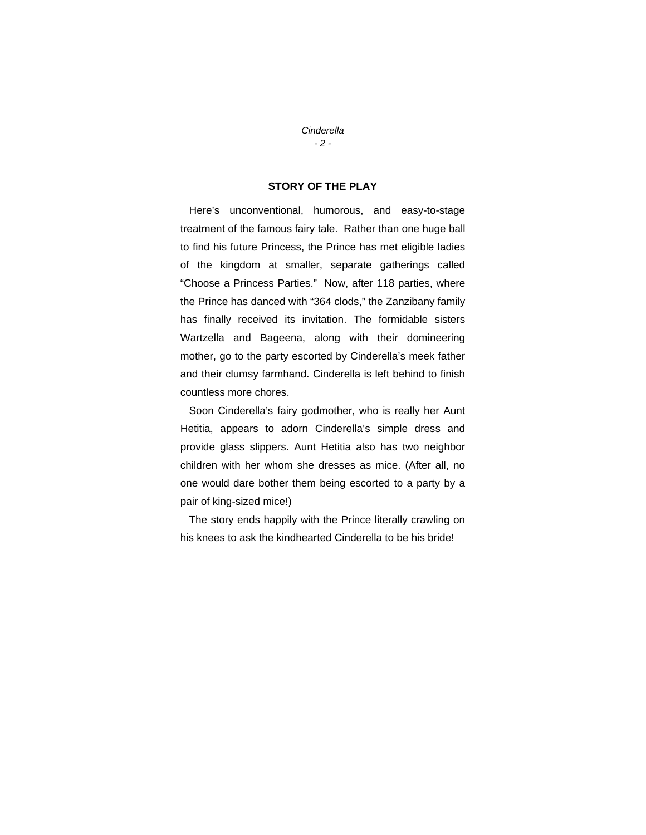#### *Cinderella - 2 -*

## **STORY OF THE PLAY**

 Here's unconventional, humorous, and easy-to-stage treatment of the famous fairy tale. Rather than one huge ball to find his future Princess, the Prince has met eligible ladies of the kingdom at smaller, separate gatherings called "Choose a Princess Parties." Now, after 118 parties, where the Prince has danced with "364 clods," the Zanzibany family has finally received its invitation. The formidable sisters Wartzella and Bageena, along with their domineering mother, go to the party escorted by Cinderella's meek father and their clumsy farmhand. Cinderella is left behind to finish countless more chores.

 Soon Cinderella's fairy godmother, who is really her Aunt Hetitia, appears to adorn Cinderella's simple dress and provide glass slippers. Aunt Hetitia also has two neighbor children with her whom she dresses as mice. (After all, no one would dare bother them being escorted to a party by a pair of king-sized mice!)

 The story ends happily with the Prince literally crawling on his knees to ask the kindhearted Cinderella to be his bride!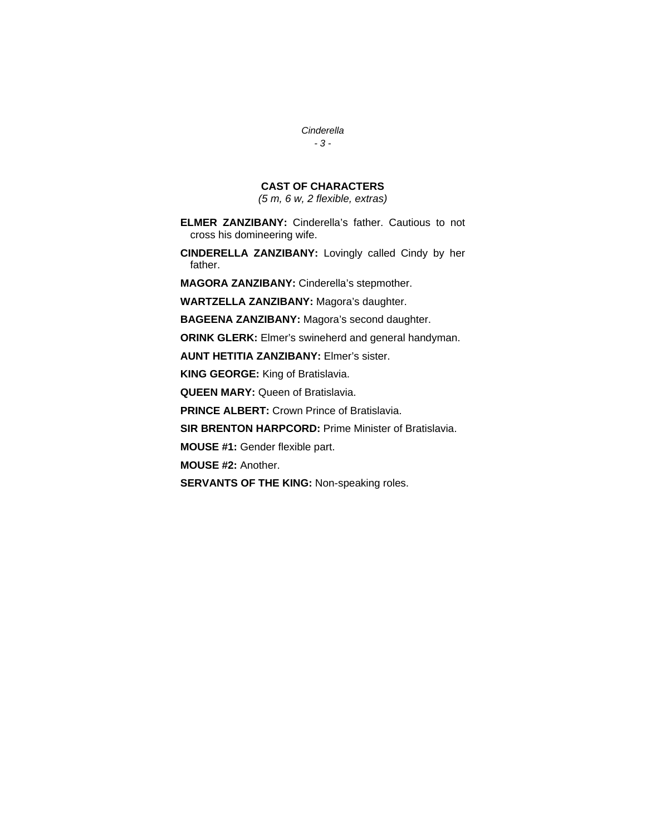*Cinderella - 3 -*

## **CAST OF CHARACTERS**

*(5 m, 6 w, 2 flexible, extras)* 

- **ELMER ZANZIBANY:** Cinderella's father. Cautious to not cross his domineering wife.
- **CINDERELLA ZANZIBANY:** Lovingly called Cindy by her father.

**MAGORA ZANZIBANY:** Cinderella's stepmother.

**WARTZELLA ZANZIBANY:** Magora's daughter.

**BAGEENA ZANZIBANY:** Magora's second daughter.

**ORINK GLERK:** Elmer's swineherd and general handyman.

**AUNT HETITIA ZANZIBANY:** Elmer's sister.

**KING GEORGE:** King of Bratislavia.

**QUEEN MARY:** Queen of Bratislavia.

**PRINCE ALBERT:** Crown Prince of Bratislavia.

**SIR BRENTON HARPCORD:** Prime Minister of Bratislavia.

**MOUSE #1:** Gender flexible part.

**MOUSE #2:** Another.

**SERVANTS OF THE KING:** Non-speaking roles.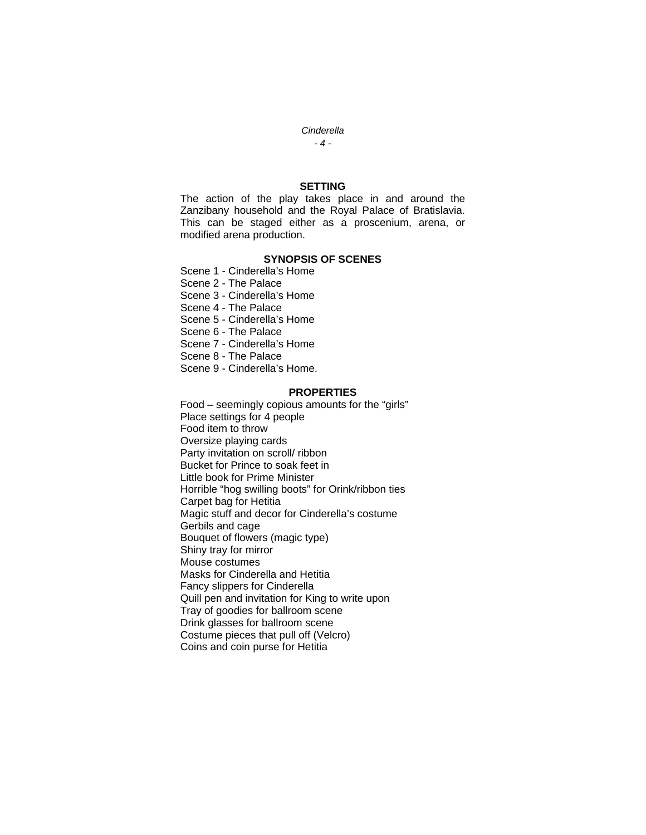*- 4 -*

### **SETTING**

The action of the play takes place in and around the Zanzibany household and the Royal Palace of Bratislavia. This can be staged either as a proscenium, arena, or modified arena production.

#### **SYNOPSIS OF SCENES**

Scene 1 - Cinderella's Home

Scene 2 - The Palace

Scene 3 - Cinderella's Home

Scene 4 - The Palace

Scene 5 - Cinderella's Home

Scene 6 - The Palace

Scene 7 - Cinderella's Home

Scene 8 - The Palace

Scene 9 - Cinderella's Home.

#### **PROPERTIES**

Food – seemingly copious amounts for the "girls" Place settings for 4 people Food item to throw Oversize playing cards Party invitation on scroll/ ribbon Bucket for Prince to soak feet in Little book for Prime Minister Horrible "hog swilling boots" for Orink/ribbon ties Carpet bag for Hetitia Magic stuff and decor for Cinderella's costume Gerbils and cage Bouquet of flowers (magic type) Shiny tray for mirror Mouse costumes Masks for Cinderella and Hetitia Fancy slippers for Cinderella Quill pen and invitation for King to write upon Tray of goodies for ballroom scene Drink glasses for ballroom scene Costume pieces that pull off (Velcro) Coins and coin purse for Hetitia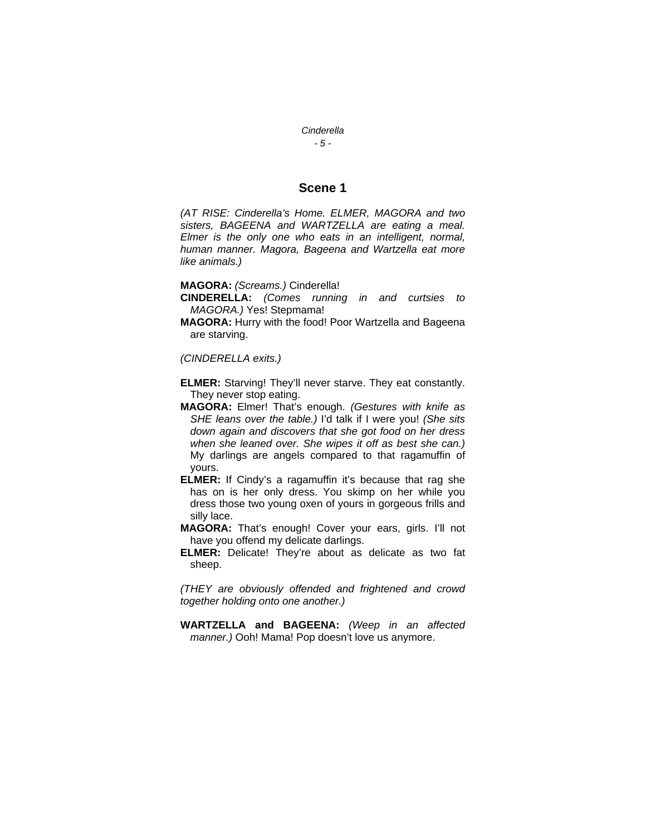*- 5 -*

## **Scene 1**

*(AT RISE: Cinderella's Home. ELMER, MAGORA and two sisters, BAGEENA and WARTZELLA are eating a meal. Elmer is the only one who eats in an intelligent, normal, human manner. Magora, Bageena and Wartzella eat more like animals.)* 

**MAGORA:** *(Screams.)* Cinderella!

- **CINDERELLA:** *(Comes running in and curtsies to MAGORA.)* Yes! Stepmama!
- **MAGORA:** Hurry with the food! Poor Wartzella and Bageena are starving.

*(CINDERELLA exits.)* 

- **ELMER:** Starving! They'll never starve. They eat constantly. They never stop eating.
- **MAGORA:** Elmer! That's enough. *(Gestures with knife as SHE leans over the table.)* I'd talk if I were you! *(She sits down again and discovers that she got food on her dress when she leaned over. She wipes it off as best she can.)*  My darlings are angels compared to that ragamuffin of yours.
- **ELMER:** If Cindy's a ragamuffin it's because that rag she has on is her only dress. You skimp on her while you dress those two young oxen of yours in gorgeous frills and silly lace.
- **MAGORA:** That's enough! Cover your ears, girls. I'll not have you offend my delicate darlings.
- **ELMER:** Delicate! They're about as delicate as two fat sheep.

*(THEY are obviously offended and frightened and crowd together holding onto one another.)* 

**WARTZELLA and BAGEENA:** *(Weep in an affected manner.)* Ooh! Mama! Pop doesn't love us anymore.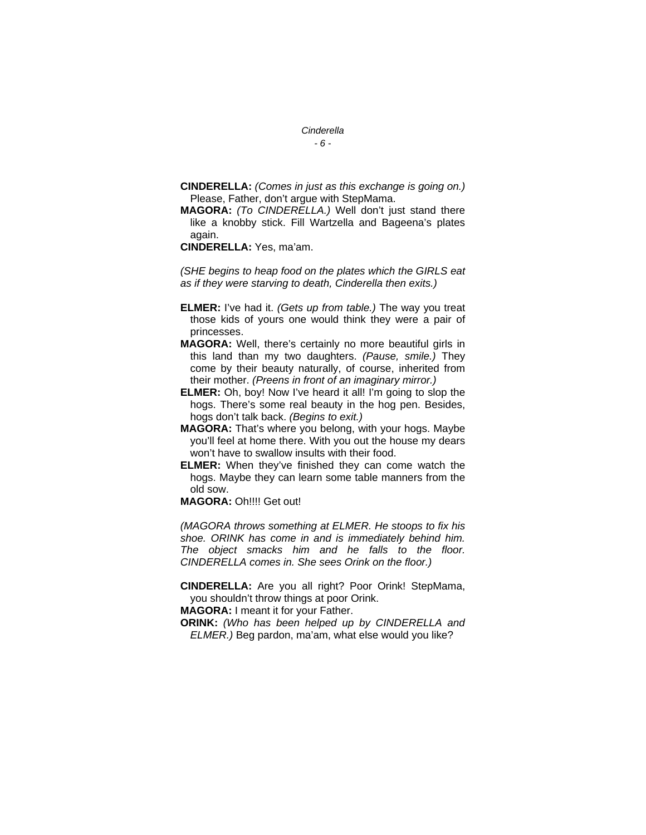*- 6 -*

- **CINDERELLA:** *(Comes in just as this exchange is going on.)* Please, Father, don't argue with StepMama.
- **MAGORA:** *(To CINDERELLA.)* Well don't just stand there like a knobby stick. Fill Wartzella and Bageena's plates again.
- **CINDERELLA:** Yes, ma'am.

*(SHE begins to heap food on the plates which the GIRLS eat as if they were starving to death, Cinderella then exits.)* 

- **ELMER:** I've had it. *(Gets up from table.)* The way you treat those kids of yours one would think they were a pair of princesses.
- **MAGORA:** Well, there's certainly no more beautiful girls in this land than my two daughters. *(Pause, smile.)* They come by their beauty naturally, of course, inherited from their mother. *(Preens in front of an imaginary mirror.)*
- **ELMER:** Oh, boy! Now I've heard it all! I'm going to slop the hogs. There's some real beauty in the hog pen. Besides, hogs don't talk back. *(Begins to exit.)*
- **MAGORA:** That's where you belong, with your hogs. Maybe you'll feel at home there. With you out the house my dears won't have to swallow insults with their food.
- **ELMER:** When they've finished they can come watch the hogs. Maybe they can learn some table manners from the old sow.
- **MAGORA:** Oh!!!! Get out!

*(MAGORA throws something at ELMER. He stoops to fix his shoe. ORINK has come in and is immediately behind him. The object smacks him and he falls to the floor. CINDERELLA comes in. She sees Orink on the floor.)* 

**CINDERELLA:** Are you all right? Poor Orink! StepMama, you shouldn't throw things at poor Orink.

**MAGORA:** I meant it for your Father.

**ORINK:** *(Who has been helped up by CINDERELLA and ELMER.)* Beg pardon, ma'am, what else would you like?